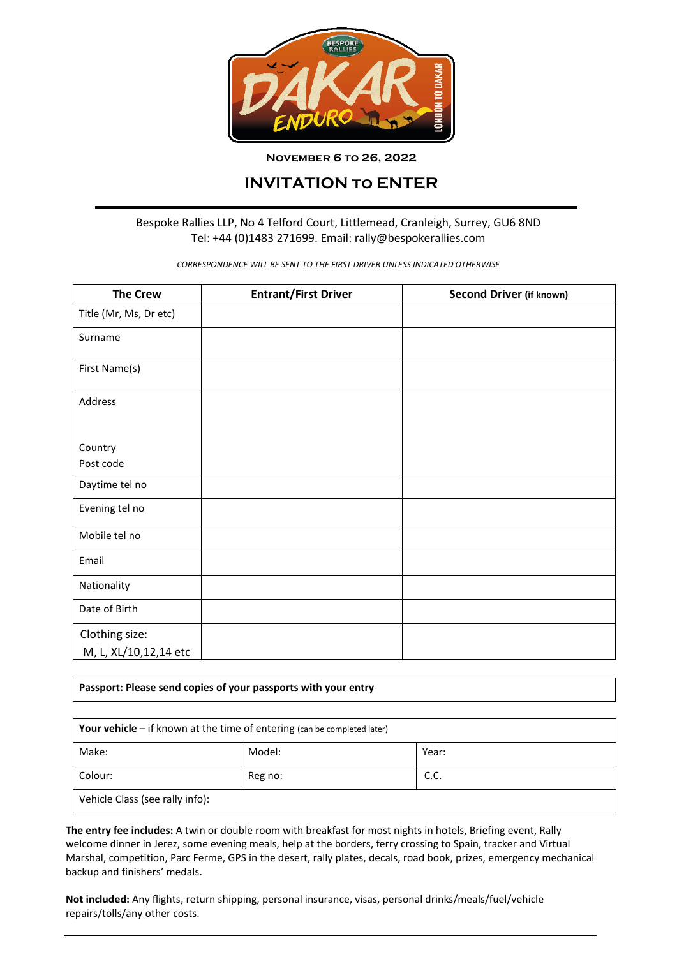

**November 6 to 26, 2022**

## **INVITATION to ENTER**

## Bespoke Rallies LLP, No 4 Telford Court, Littlemead, Cranleigh, Surrey, GU6 8ND Tel: +44 (0)1483 271699. Email: rally@bespokerallies.com

*CORRESPONDENCE WILL BE SENT TO THE FIRST DRIVER UNLESS INDICATED OTHERWISE*

| <b>The Crew</b>        | <b>Entrant/First Driver</b> | <b>Second Driver (if known)</b> |
|------------------------|-----------------------------|---------------------------------|
| Title (Mr, Ms, Dr etc) |                             |                                 |
| Surname                |                             |                                 |
| First Name(s)          |                             |                                 |
| Address                |                             |                                 |
| Country                |                             |                                 |
| Post code              |                             |                                 |
| Daytime tel no         |                             |                                 |
| Evening tel no         |                             |                                 |
| Mobile tel no          |                             |                                 |
| Email                  |                             |                                 |
| Nationality            |                             |                                 |
| Date of Birth          |                             |                                 |
| Clothing size:         |                             |                                 |
| M, L, XL/10,12,14 etc  |                             |                                 |

**Passport: Please send copies of your passports with your entry**

| <b>Your vehicle</b> $-$ if known at the time of entering (can be completed later) |         |       |  |  |
|-----------------------------------------------------------------------------------|---------|-------|--|--|
| Make:                                                                             | Model:  | Year: |  |  |
| Colour:                                                                           | Reg no: | C.C.  |  |  |
| Vehicle Class (see rally info):                                                   |         |       |  |  |

**The entry fee includes:** A twin or double room with breakfast for most nights in hotels, Briefing event, Rally welcome dinner in Jerez, some evening meals, help at the borders, ferry crossing to Spain, tracker and Virtual Marshal, competition, Parc Ferme, GPS in the desert, rally plates, decals, road book, prizes, emergency mechanical backup and finishers' medals.

**Not included:** Any flights, return shipping, personal insurance, visas, personal drinks/meals/fuel/vehicle repairs/tolls/any other costs.